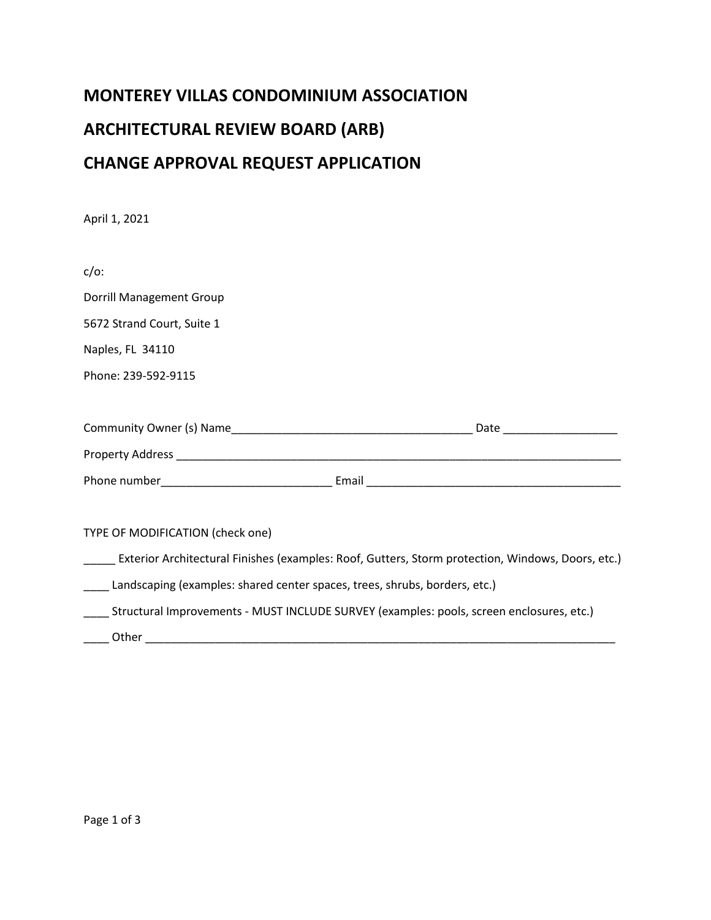## **MONTEREY VILLAS CONDOMINIUM ASSOCIATION ARCHITECTURAL REVIEW BOARD (ARB) CHANGE APPROVAL REQUEST APPLICATION**

April 1, 2021

| $c/o$ :                                                                    |                                                                                                      |
|----------------------------------------------------------------------------|------------------------------------------------------------------------------------------------------|
| Dorrill Management Group                                                   |                                                                                                      |
| 5672 Strand Court, Suite 1                                                 |                                                                                                      |
| Naples, FL 34110                                                           |                                                                                                      |
| Phone: 239-592-9115                                                        |                                                                                                      |
|                                                                            |                                                                                                      |
|                                                                            | Date ____________________                                                                            |
|                                                                            |                                                                                                      |
|                                                                            |                                                                                                      |
|                                                                            |                                                                                                      |
| TYPE OF MODIFICATION (check one)                                           |                                                                                                      |
|                                                                            | [] Exterior Architectural Finishes (examples: Roof, Gutters, Storm protection, Windows, Doors, etc.) |
| Landscaping (examples: shared center spaces, trees, shrubs, borders, etc.) |                                                                                                      |
|                                                                            | Structural Improvements - MUST INCLUDE SURVEY (examples: pools, screen enclosures, etc.)             |
| Other                                                                      |                                                                                                      |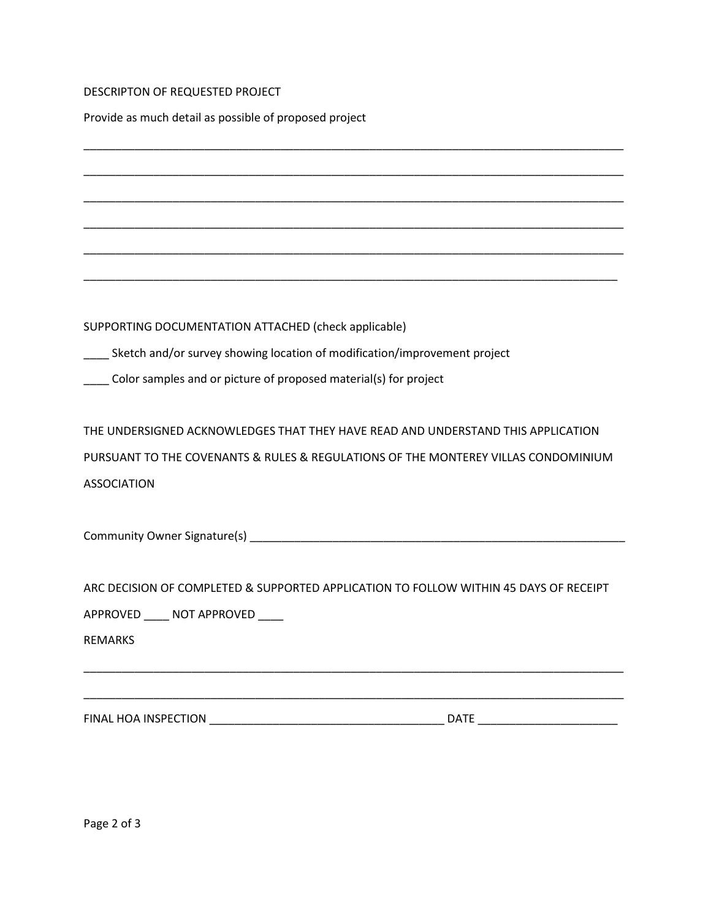## DESCRIPTON OF REQUESTED PROJECT

| Provide as much detail as possible of proposed project                                |                               |  |  |
|---------------------------------------------------------------------------------------|-------------------------------|--|--|
|                                                                                       |                               |  |  |
|                                                                                       |                               |  |  |
|                                                                                       |                               |  |  |
|                                                                                       |                               |  |  |
|                                                                                       |                               |  |  |
|                                                                                       |                               |  |  |
| SUPPORTING DOCUMENTATION ATTACHED (check applicable)                                  |                               |  |  |
|                                                                                       |                               |  |  |
| ____ Sketch and/or survey showing location of modification/improvement project        |                               |  |  |
| ____ Color samples and or picture of proposed material(s) for project                 |                               |  |  |
| THE UNDERSIGNED ACKNOWLEDGES THAT THEY HAVE READ AND UNDERSTAND THIS APPLICATION      |                               |  |  |
| PURSUANT TO THE COVENANTS & RULES & REGULATIONS OF THE MONTEREY VILLAS CONDOMINIUM    |                               |  |  |
| <b>ASSOCIATION</b>                                                                    |                               |  |  |
|                                                                                       |                               |  |  |
|                                                                                       |                               |  |  |
| ARC DECISION OF COMPLETED & SUPPORTED APPLICATION TO FOLLOW WITHIN 45 DAYS OF RECEIPT |                               |  |  |
| APPROVED NOT APPROVED                                                                 |                               |  |  |
| <b>REMARKS</b>                                                                        |                               |  |  |
|                                                                                       |                               |  |  |
|                                                                                       | DATE ________________________ |  |  |